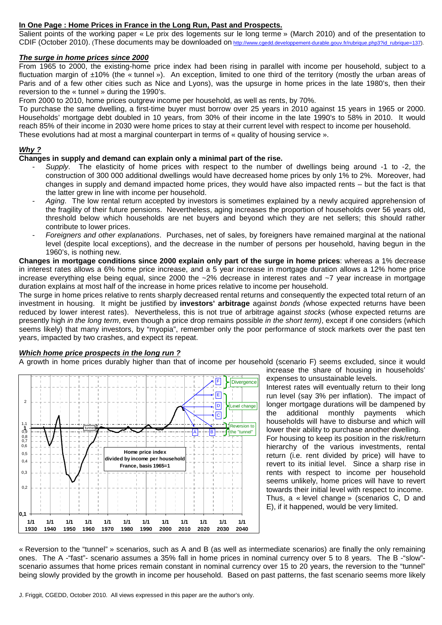# **In One Page : Home Prices in France in the Long Run, Past and Prospects.**

Salient points of the working paper « Le prix des logements sur le long terme » (March 2010) and of the presentation to CDIF (October 2010). (These documents may be downloaded on http://www.cgedd.developpement-durable.gouv.fr/rubrique.php3?id\_rubrique=137).

# **The surge in home prices since 2000**

From 1965 to 2000, the existing-home price index had been rising in parallel with income per household, subject to a fluctuation margin of ±10% (the « tunnel »). An exception, limited to one third of the territory (mostly the urban areas of Paris and of a few other cities such as Nice and Lyons), was the upsurge in home prices in the late 1980's, then their reversion to the « tunnel » during the 1990's.

From 2000 to 2010, home prices outgrew income per household, as well as rents, by 70%.

To purchase the same dwelling, a first-time buyer must borrow over 25 years in 2010 against 15 years in 1965 or 2000. Households' mortgage debt doubled in 10 years, from 30% of their income in the late 1990's to 58% in 2010. It would reach 85% of their income in 2030 were home prices to stay at their current level with respect to income per household. These evolutions had at most a marginal counterpart in terms of « quality of housing service ».

## **Why ?**

# **Changes in supply and demand can explain only a minimal part of the rise.**

- Supply. The elasticity of home prices with respect to the number of dwellings being around -1 to -2, the construction of 300 000 additional dwellings would have decreased home prices by only 1% to 2%. Moreover, had changes in supply and demand impacted home prices, they would have also impacted rents – but the fact is that the latter grew in line with income per household.
- Aging. The low rental return accepted by investors is sometimes explained by a newly acquired apprehension of the fragility of their future pensions. Nevertheless, aging increases the proportion of households over 56 years old, threshold below which households are net buyers and beyond which they are net sellers; this should rather contribute to lower prices.
- Foreigners and other explanations. Purchases, net of sales, by foreigners have remained marginal at the national level (despite local exceptions), and the decrease in the number of persons per household, having begun in the 1960's, is nothing new.

**Changes in mortgage conditions since 2000 explain only part of the surge in home prices**: whereas a 1% decrease in interest rates allows a 6% home price increase, and a 5 year increase in mortgage duration allows a 12% home price increase everything else being equal, since 2000 the ~2% decrease in interest rates and ~7 year increase in mortgage duration explains at most half of the increase in home prices relative to income per household.

The surge in home prices relative to rents sharply decreased rental returns and consequently the expected total return of an investment in housing. It might be justified by **investors' arbitrage** against bonds (whose expected returns have been reduced by lower interest rates). Nevertheless, this is not true of arbitrage against stocks (whose expected returns are presently high in the long term, even though a price drop remains possible in the short term), except if one considers (which seems likely) that many investors, by "myopia", remember only the poor performance of stock markets over the past ten years, impacted by two crashes, and expect its repeat.

#### **Which home price prospects in the long run ?**

A growth in home prices durably higher than that of income per household (scenario F) seems excluded, since it would



increase the share of housing in households' expenses to unsustainable levels.

Interest rates will eventually return to their long run level (say 3% per inflation). The impact of longer mortgage durations will be dampened by the additional monthly payments which households will have to disburse and which will lower their ability to purchase another dwelling. For housing to keep its position in the risk/return

hierarchy of the various investments, rental return (i.e. rent divided by price) will have to revert to its initial level. Since a sharp rise in rents with respect to income per household seems unlikely, home prices will have to revert towards their initial level with respect to income. Thus, a « level change » (scenarios C, D and E), if it happened, would be very limited.

« Reversion to the "tunnel" » scenarios, such as A and B (as well as intermediate scenarios) are finally the only remaining ones. The A -"fast"- scenario assumes a 35% fall in home prices in nominal currency over 5 to 8 years. The B -"slow" scenario assumes that home prices remain constant in nominal currency over 15 to 20 years, the reversion to the "tunnel" being slowly provided by the growth in income per household. Based on past patterns, the fast scenario seems more likely